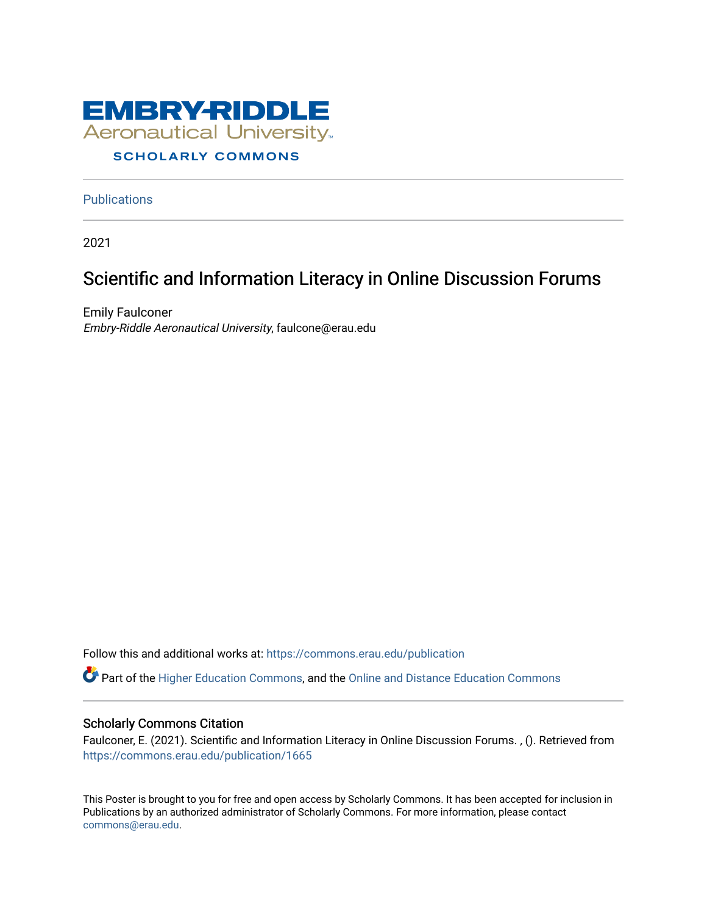

**Publications** 

2021

### Scientific and Information Literacy in Online Discussion Forums

Emily Faulconer Embry-Riddle Aeronautical University, faulcone@erau.edu

Follow this and additional works at: [https://commons.erau.edu/publication](https://commons.erau.edu/publication?utm_source=commons.erau.edu%2Fpublication%2F1665&utm_medium=PDF&utm_campaign=PDFCoverPages) 

Part of the [Higher Education Commons,](http://network.bepress.com/hgg/discipline/1245?utm_source=commons.erau.edu%2Fpublication%2F1665&utm_medium=PDF&utm_campaign=PDFCoverPages) and the [Online and Distance Education Commons](http://network.bepress.com/hgg/discipline/1296?utm_source=commons.erau.edu%2Fpublication%2F1665&utm_medium=PDF&utm_campaign=PDFCoverPages) 

### Scholarly Commons Citation

Faulconer, E. (2021). Scientific and Information Literacy in Online Discussion Forums. , (). Retrieved from [https://commons.erau.edu/publication/1665](https://commons.erau.edu/publication/1665?utm_source=commons.erau.edu%2Fpublication%2F1665&utm_medium=PDF&utm_campaign=PDFCoverPages)

This Poster is brought to you for free and open access by Scholarly Commons. It has been accepted for inclusion in Publications by an authorized administrator of Scholarly Commons. For more information, please contact [commons@erau.edu](mailto:commons@erau.edu).